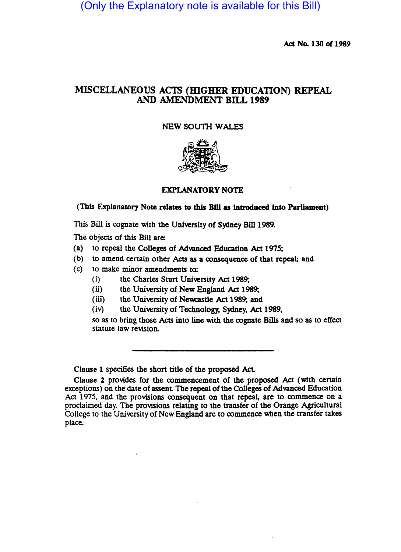(Only the Explanatory note is available for this Bill)

Act No. 130 of 1989

## MISCELLANEOUS ACTS (HIGHER EDUCATION) REPEAL AND AMENDMENT BILL 1989

## NEW SOUTH WALES



## EXPLANATORY NOTE

## (This Explanatory Note relates to this Bill as introduced into Parliament)

This Bill is cognate with the University of Sydney Bill 1989.

The objects of this Bill are:

- (a) to repeal the Colleges of Advanced Education Act 1975;
- (b) to amend certain other Acts as a consequence of that repeal; and
- (c) to make minor amendments to:
	- (i) the Charles Sturt University *Act* 1989;
	- (ii) the University of New England *Act* 1989;
	- (iii) the University of Newcastle *Act* 1989; and
	- (iv) the University of Technology, Sydney, *Act* 1989,

so as to bring those Acts into line with the cognate Bills and so as to effect statute law revision.

Clause 1 specifies the short title of the proposed Act.

Clause 2 provides for the commencement of the proposed *Act* (with certain exceptions) on the date of assent The repeal of the Colleges of Advanced Education Act 1975, and the provisions consequent on that repeal, are to oommence on a proclaimed day. The provisions relating to the transfer of the Orange Agricultural College to the University of New England are to commence when the transfer takes place.